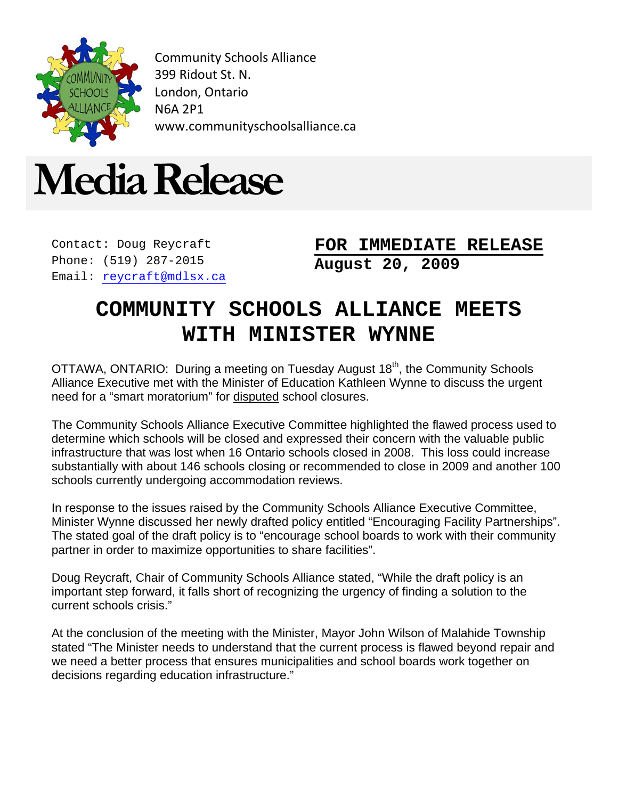

Community Schools Alliance 399 Ridout St. N. London, Ontario N6A 2P1 www.communityschoolsalliance.ca



Contact: Doug Reycraft Phone: (519) 287-2015 Email: [reycraft@mdlsx.ca](mailto:reycraft@mdlsx.ca) **August 20, 2009 FOR IMMEDIATE RELEASE**

## **COMMUNITY SCHOOLS ALLIANCE MEETS WITH MINISTER WYNNE**

OTTAWA, ONTARIO: During a meeting on Tuesday August 18<sup>th</sup>, the Community Schools Alliance Executive met with the Minister of Education Kathleen Wynne to discuss the urgent need for a "smart moratorium" for disputed school closures.

The Community Schools Alliance Executive Committee highlighted the flawed process used to determine which schools will be closed and expressed their concern with the valuable public infrastructure that was lost when 16 Ontario schools closed in 2008. This loss could increase substantially with about 146 schools closing or recommended to close in 2009 and another 100 schools currently undergoing accommodation reviews.

In response to the issues raised by the Community Schools Alliance Executive Committee, Minister Wynne discussed her newly drafted policy entitled "Encouraging Facility Partnerships". The stated goal of the draft policy is to "encourage school boards to work with their community partner in order to maximize opportunities to share facilities".

Doug Reycraft, Chair of Community Schools Alliance stated, "While the draft policy is an important step forward, it falls short of recognizing the urgency of finding a solution to the current schools crisis."

At the conclusion of the meeting with the Minister, Mayor John Wilson of Malahide Township stated "The Minister needs to understand that the current process is flawed beyond repair and we need a better process that ensures municipalities and school boards work together on decisions regarding education infrastructure."